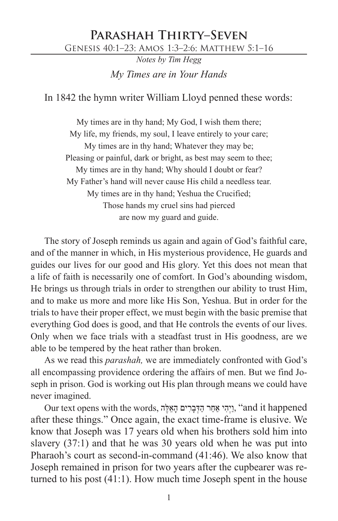## **Parashah Thirty–Seven**

Genesis 40:1–23; Amos 1:3–2:6; Matthew 5:1–16

*Notes by Tim Hegg My Times are in Your Hands*

In 1842 the hymn writer William Lloyd penned these words:

My times are in thy hand; My God, I wish them there; My life, my friends, my soul, I leave entirely to your care; My times are in thy hand; Whatever they may be; Pleasing or painful, dark or bright, as best may seem to thee; My times are in thy hand; Why should I doubt or fear? My Father's hand will never cause His child a needless tear. My times are in thy hand; Yeshua the Crucified; Those hands my cruel sins had pierced are now my guard and guide.

The story of Joseph reminds us again and again of God's faithful care, and of the manner in which, in His mysterious providence, He guards and guides our lives for our good and His glory. Yet this does not mean that a life of faith is necessarily one of comfort. In God's abounding wisdom, He brings us through trials in order to strengthen our ability to trust Him, and to make us more and more like His Son, Yeshua. But in order for the trials to have their proper effect, we must begin with the basic premise that everything God does is good, and that He controls the events of our lives. Only when we face trials with a steadfast trust in His goodness, are we able to be tempered by the heat rather than broken.

As we read this *parashah,* we are immediately confronted with God's all encompassing providence ordering the affairs of men. But we find Joseph in prison. God is working out His plan through means we could have never imagined.

Our text opens with the words, וַיְהִי אַחַר הַדְּבַרִים הָאֵלֶה, "and it happened after these things." Once again, the exact time-frame is elusive. We know that Joseph was 17 years old when his brothers sold him into slavery (37:1) and that he was 30 years old when he was put into Pharaoh's court as second-in-command (41:46). We also know that Joseph remained in prison for two years after the cupbearer was returned to his post (41:1). How much time Joseph spent in the house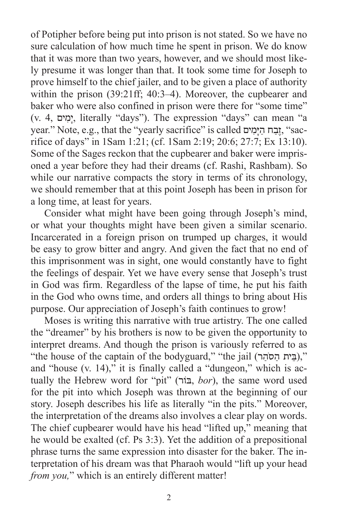of Potipher before being put into prison is not stated. So we have no sure calculation of how much time he spent in prison. We do know that it was more than two years, however, and we should most likely presume it was longer than that. It took some time for Joseph to prove himself to the chief jailer, and to be given a place of authority within the prison (39:21ff; 40:3–4). Moreover, the cupbearer and baker who were also confined in prison were there for "some time" (v. 4, ים ִמָי, literally "days"). The expression "days" can mean "a year." Note, e.g., that the "yearly sacrifice" is called ים ימים, "sacrifice of days" in 1Sam 1:21; (cf. 1Sam 2:19; 20:6; 27:7; Ex 13:10). Some of the Sages reckon that the cupbearer and baker were imprisoned a year before they had their dreams (cf. Rashi, Rashbam). So while our narrative compacts the story in terms of its chronology, we should remember that at this point Joseph has been in prison for a long time, at least for years.

Consider what might have been going through Joseph's mind, or what your thoughts might have been given a similar scenario. Incarcerated in a foreign prison on trumped up charges, it would be easy to grow bitter and angry. And given the fact that no end of this imprisonment was in sight, one would constantly have to fight the feelings of despair. Yet we have every sense that Joseph's trust in God was firm. Regardless of the lapse of time, he put his faith in the God who owns time, and orders all things to bring about His purpose. Our appreciation of Joseph's faith continues to grow!

Moses is writing this narrative with true artistry. The one called the "dreamer" by his brothers is now to be given the opportunity to interpret dreams. And though the prison is variously referred to as "(בֵּית הַסֹהֵר)," (the house of the captain of the bodyguard," "the jail (בֵית הַסֹהֵר), and "house (v. 14)," it is finally called a "dungeon," which is actually the Hebrew word for "pit" (בוֹרּ, *bor*), the same word used for the pit into which Joseph was thrown at the beginning of our story. Joseph describes his life as literally "in the pits." Moreover, the interpretation of the dreams also involves a clear play on words. The chief cupbearer would have his head "lifted up," meaning that he would be exalted (cf. Ps 3:3). Yet the addition of a prepositional phrase turns the same expression into disaster for the baker. The interpretation of his dream was that Pharaoh would "lift up your head *from you*," which is an entirely different matter!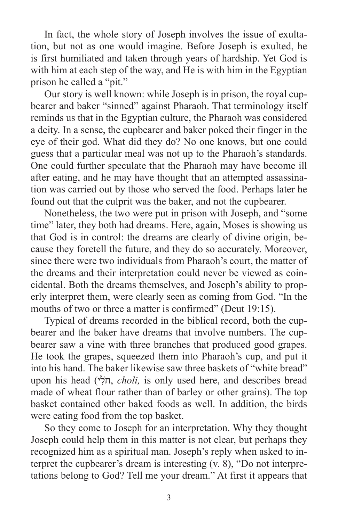In fact, the whole story of Joseph involves the issue of exultation, but not as one would imagine. Before Joseph is exulted, he is first humiliated and taken through years of hardship. Yet God is with him at each step of the way, and He is with him in the Egyptian prison he called a "pit."

Our story is well known: while Joseph is in prison, the royal cupbearer and baker "sinned" against Pharaoh. That terminology itself reminds us that in the Egyptian culture, the Pharaoh was considered a deity. In a sense, the cupbearer and baker poked their finger in the eye of their god. What did they do? No one knows, but one could guess that a particular meal was not up to the Pharaoh's standards. One could further speculate that the Pharaoh may have become ill after eating, and he may have thought that an attempted assassination was carried out by those who served the food. Perhaps later he found out that the culprit was the baker, and not the cupbearer.

Nonetheless, the two were put in prison with Joseph, and "some time" later, they both had dreams. Here, again, Moses is showing us that God is in control: the dreams are clearly of divine origin, because they foretell the future, and they do so accurately. Moreover, since there were two individuals from Pharaoh's court, the matter of the dreams and their interpretation could never be viewed as coincidental. Both the dreams themselves, and Joseph's ability to properly interpret them, were clearly seen as coming from God. "In the mouths of two or three a matter is confirmed" (Deut 19:15).

Typical of dreams recorded in the biblical record, both the cupbearer and the baker have dreams that involve numbers. The cupbearer saw a vine with three branches that produced good grapes. He took the grapes, squeezed them into Pharaoh's cup, and put it into his hand. The baker likewise saw three baskets of "white bread" upon his head (חֹל*י*, *choli*, is only used here, and describes bread made of wheat flour rather than of barley or other grains). The top basket contained other baked foods as well. In addition, the birds were eating food from the top basket.

So they come to Joseph for an interpretation. Why they thought Joseph could help them in this matter is not clear, but perhaps they recognized him as a spiritual man. Joseph's reply when asked to interpret the cupbearer's dream is interesting (v. 8), "Do not interpretations belong to God? Tell me your dream." At first it appears that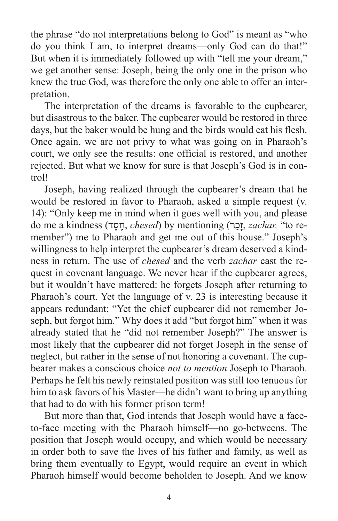the phrase "do not interpretations belong to God" is meant as "who do you think I am, to interpret dreams—only God can do that!" But when it is immediately followed up with "tell me your dream," we get another sense: Joseph, being the only one in the prison who knew the true God, was therefore the only one able to offer an interpretation.

The interpretation of the dreams is favorable to the cupbearer, but disastrous to the baker. The cupbearer would be restored in three days, but the baker would be hung and the birds would eat his flesh. Once again, we are not privy to what was going on in Pharaoh's court, we only see the results: one official is restored, and another rejected. But what we know for sure is that Joseph's God is in control!

Joseph, having realized through the cupbearer's dream that he would be restored in favor to Pharaoh, asked a simple request (v. 14): "Only keep me in mind when it goes well with you, and please do me a kindness (**דסד,** *chesed*) by mentioning (זכר, *zachar*, "to remember") me to Pharaoh and get me out of this house." Joseph's willingness to help interpret the cupbearer's dream deserved a kindness in return. The use of *chesed* and the verb *zachar* cast the request in covenant language. We never hear if the cupbearer agrees, but it wouldn't have mattered: he forgets Joseph after returning to Pharaoh's court. Yet the language of v. 23 is interesting because it appears redundant: "Yet the chief cupbearer did not remember Joseph, but forgot him." Why does it add "but forgot him" when it was already stated that he "did not remember Joseph?" The answer is most likely that the cupbearer did not forget Joseph in the sense of neglect, but rather in the sense of not honoring a covenant. The cupbearer makes a conscious choice *not to mention* Joseph to Pharaoh. Perhaps he felt his newly reinstated position was still too tenuous for him to ask favors of his Master—he didn't want to bring up anything that had to do with his former prison term!

But more than that, God intends that Joseph would have a faceto-face meeting with the Pharaoh himself—no go-betweens. The position that Joseph would occupy, and which would be necessary in order both to save the lives of his father and family, as well as bring them eventually to Egypt, would require an event in which Pharaoh himself would become beholden to Joseph. And we know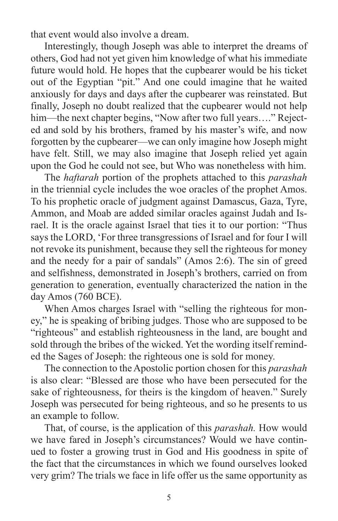that event would also involve a dream.

Interestingly, though Joseph was able to interpret the dreams of others, God had not yet given him knowledge of what his immediate future would hold. He hopes that the cupbearer would be his ticket out of the Egyptian "pit." And one could imagine that he waited anxiously for days and days after the cupbearer was reinstated. But finally, Joseph no doubt realized that the cupbearer would not help him—the next chapter begins, "Now after two full years...." Rejected and sold by his brothers, framed by his master's wife, and now forgotten by the cupbearer—we can only imagine how Joseph might have felt. Still, we may also imagine that Joseph relied yet again upon the God he could not see, but Who was nonetheless with him.

The *haftarah* portion of the prophets attached to this *parashah* in the triennial cycle includes the woe oracles of the prophet Amos. To his prophetic oracle of judgment against Damascus, Gaza, Tyre, Ammon, and Moab are added similar oracles against Judah and Israel. It is the oracle against Israel that ties it to our portion: "Thus says the LORD, 'For three transgressions of Israel and for four I will not revoke its punishment, because they sell the righteous for money and the needy for a pair of sandals" (Amos 2:6). The sin of greed and selfishness, demonstrated in Joseph's brothers, carried on from generation to generation, eventually characterized the nation in the day Amos (760 BCE).

When Amos charges Israel with "selling the righteous for money," he is speaking of bribing judges. Those who are supposed to be "righteous" and establish righteousness in the land, are bought and sold through the bribes of the wicked. Yet the wording itself reminded the Sages of Joseph: the righteous one is sold for money.

The connection to the Apostolic portion chosen for this *parashah* is also clear: "Blessed are those who have been persecuted for the sake of righteousness, for theirs is the kingdom of heaven." Surely Joseph was persecuted for being righteous, and so he presents to us an example to follow.

That, of course, is the application of this *parashah.* How would we have fared in Joseph's circumstances? Would we have continued to foster a growing trust in God and His goodness in spite of the fact that the circumstances in which we found ourselves looked very grim? The trials we face in life offer us the same opportunity as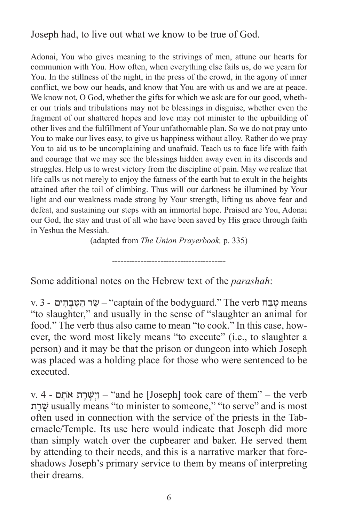Joseph had, to live out what we know to be true of God.

Adonai, You who gives meaning to the strivings of men, attune our hearts for communion with You. How often, when everything else fails us, do we yearn for You. In the stillness of the night, in the press of the crowd, in the agony of inner conflict, we bow our heads, and know that You are with us and we are at peace. We know not, O God, whether the gifts for which we ask are for our good, whether our trials and tribulations may not be blessings in disguise, whether even the fragment of our shattered hopes and love may not minister to the upbuilding of other lives and the fulfillment of Your unfathomable plan. So we do not pray unto You to make our lives easy, to give us happiness without alloy. Rather do we pray You to aid us to be uncomplaining and unafraid. Teach us to face life with faith and courage that we may see the blessings hidden away even in its discords and struggles. Help us to wrest victory from the discipline of pain. May we realize that life calls us not merely to enjoy the fatness of the earth but to exult in the heights attained after the toil of climbing. Thus will our darkness be illumined by Your light and our weakness made strong by Your strength, lifting us above fear and defeat, and sustaining our steps with an immortal hope. Praised are You, Adonai our God, the stay and trust of all who have been saved by His grace through faith in Yeshua the Messiah.

(adapted from *The Union Prayerbook,* p. 335)

----------------------------------------

Some additional notes on the Hebrew text of the *parashah*:

v. 3 - שׂר הַטּבְּחִים – "captain of the bodyguard." The verb שַבַּח וּים "to slaughter," and usually in the sense of "slaughter an animal for food." The verb thus also came to mean "to cook." In this case, however, the word most likely means "to execute" (i.e., to slaughter a person) and it may be that the prison or dungeon into which Joseph was placed was a holding place for those who were sentenced to be executed.

v. 4 - ם ָתֹא ת ֶר ָשׁ ְיַו" – and he [Joseph] took care of them" – the verb ת ַר ָשׁ usually means "to minister to someone," "to serve" and is most often used in connection with the service of the priests in the Tabernacle/Temple. Its use here would indicate that Joseph did more than simply watch over the cupbearer and baker. He served them by attending to their needs, and this is a narrative marker that foreshadows Joseph's primary service to them by means of interpreting their dreams.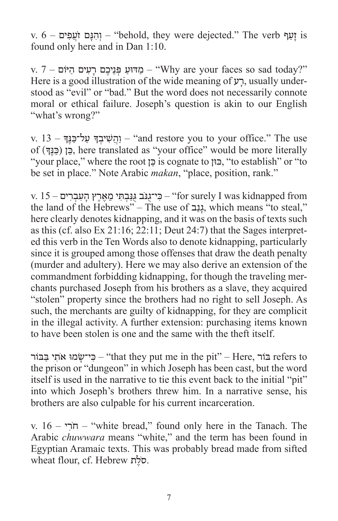$\alpha$ is זעף  $-$  1 והנם זֹעַפִּים – "behold, they were dejected." The verb זעף found only here and in Dan 1:10.

ע פְּנֵיכֶם רַעְים הַיּׂוֹם – "Why are your faces so sad today?" Here is a good illustration of the wide meaning of  $y$ , usually understood as "evil" or "bad." But the word does not necessarily connote moral or ethical failure. Joseph's question is akin to our English "what's wrong?"

use <u>יה</u>ַשִׁיבְדָּ עַל־כַּנֵּדִּ – "and restore you to your office." The use of )ךֶָנּ ַכּ )ן ֵכּ, here translated as "your office" would be more literally "your place," where the root כן is cognate to וֹכוּ, "to establish" or "to be set in place." Note Arabic *makan*, "place, position, rank."

v. 15 – פִי־גְנִב גְּנָבְתִּי מֶאֶרֶץ הַעָבְרִים (for surely I was kidnapped from the land of the Hebrews" – The use of גַנָּב, which means "to steal," here clearly denotes kidnapping, and it was on the basis of texts such as this (cf. also Ex 21:16; 22:11; Deut 24:7) that the Sages interpreted this verb in the Ten Words also to denote kidnapping, particularly since it is grouped among those offenses that draw the death penalty (murder and adultery). Here we may also derive an extension of the commandment forbidding kidnapping, for though the traveling merchants purchased Joseph from his brothers as a slave, they acquired "stolen" property since the brothers had no right to sell Joseph. As such, the merchants are guilty of kidnapping, for they are complicit in the illegal activity. A further extension: purchasing items known to have been stolen is one and the same with the theft itself.

בּוֹר (Here, בֹור – "that they put me in the pit" – Here, בּוֹר מּוֹ יוּ בַּבּוֹר the prison or "dungeon" in which Joseph has been cast, but the word itself is used in the narrative to tie this event back to the initial "pit" into which Joseph's brothers threw him. In a narrative sense, his brothers are also culpable for his current incarceration.

v. 16 – י ִרֹח" – white bread," found only here in the Tanach. The Arabic *chuwwara* means "white," and the term has been found in Egyptian Aramaic texts. This was probably bread made from sifted wheat flour, cf. Hebrew ת ֶלֹס.